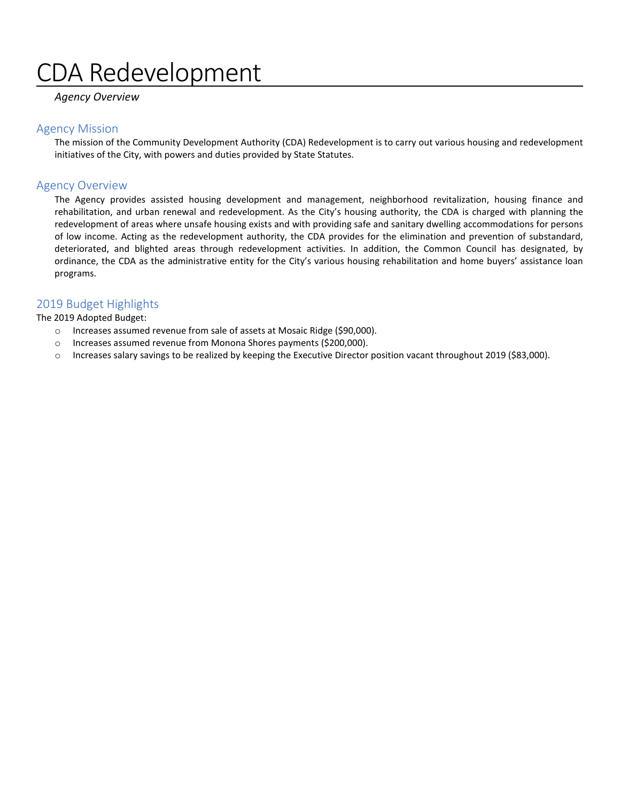# DA Redevelopment

# *Agency Overview*

## Agency Mission

The mission of the Community Development Authority (CDA) Redevelopment is to carry out various housing and redevelopment initiatives of the City, with powers and duties provided by State Statutes.

# Agency Overview

The Agency provides assisted housing development and management, neighborhood revitalization, housing finance and rehabilitation, and urban renewal and redevelopment. As the City's housing authority, the CDA is charged with planning the redevelopment of areas where unsafe housing exists and with providing safe and sanitary dwelling accommodations for persons of low income. Acting as the redevelopment authority, the CDA provides for the elimination and prevention of substandard, deteriorated, and blighted areas through redevelopment activities. In addition, the Common Council has designated, by ordinance, the CDA as the administrative entity for the City's various housing rehabilitation and home buyers' assistance loan programs.

# 2019 Budget Highlights

The 2019 Adopted Budget:

- o Increases assumed revenue from sale of assets at Mosaic Ridge (\$90,000).
- o Increases assumed revenue from Monona Shores payments (\$200,000).
- o Increases salary savings to be realized by keeping the Executive Director position vacant throughout 2019 (\$83,000).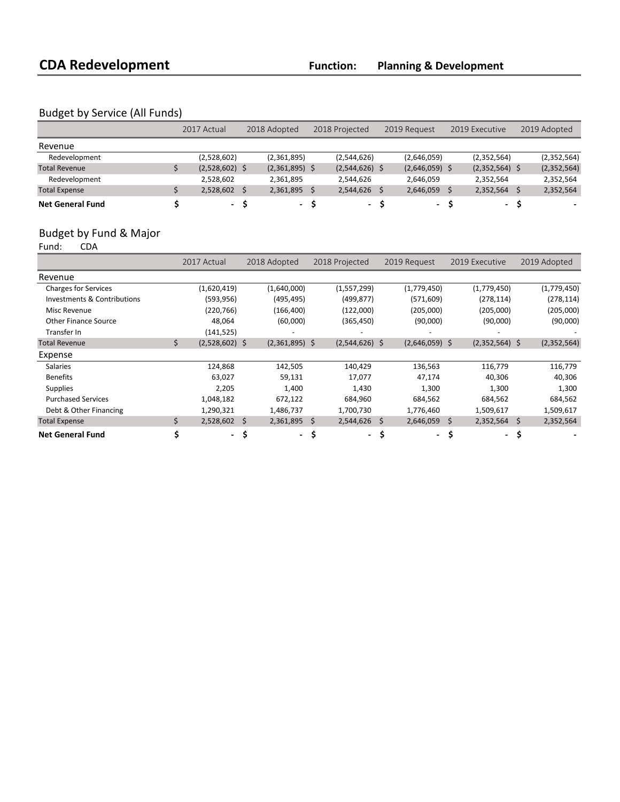# Budget by Service (All Funds)

|                         | 2017 Actual      |     | 2018 Adopted     |  | 2018 Projected   |  | 2019 Request     |  | 2019 Executive   |  | 2019 Adopted |  |
|-------------------------|------------------|-----|------------------|--|------------------|--|------------------|--|------------------|--|--------------|--|
| Revenue                 |                  |     |                  |  |                  |  |                  |  |                  |  |              |  |
| Redevelopment           | (2,528,602)      |     | (2,361,895)      |  | (2,544,626)      |  | (2,646,059)      |  | (2,352,564)      |  | (2,352,564)  |  |
| <b>Total Revenue</b>    | $(2,528,602)$ \$ |     | $(2,361,895)$ \$ |  | $(2,544,626)$ \$ |  | $(2,646,059)$ \$ |  | $(2,352,564)$ \$ |  | (2,352,564)  |  |
| Redevelopment           | 2,528,602        |     | 2,361,895        |  | 2,544,626        |  | 2,646,059        |  | 2.352.564        |  | 2,352,564    |  |
| <b>Total Expense</b>    | 2,528,602        |     | 2,361,895        |  | 2,544,626        |  | 2,646,059        |  | 2,352,564        |  | 2,352,564    |  |
| <b>Net General Fund</b> |                  | - S | $\sim$           |  | $\sim$           |  | - S              |  | $\sim$           |  |              |  |

# Budget by Fund & Major<br>Fund: CDA

Fund:

|                                        |    | 2017 Actual      | 2018 Adopted     | 2018 Projected   | 2019 Request     | 2019 Executive   | 2019 Adopted    |
|----------------------------------------|----|------------------|------------------|------------------|------------------|------------------|-----------------|
| Revenue                                |    |                  |                  |                  |                  |                  |                 |
| <b>Charges for Services</b>            |    | (1,620,419)      | (1,640,000)      | (1,557,299)      | (1,779,450)      | (1,779,450)      | (1,779,450)     |
| <b>Investments &amp; Contributions</b> |    | (593, 956)       | (495,495)        | (499, 877)       | (571, 609)       | (278, 114)       | (278, 114)      |
| Misc Revenue                           |    | (220, 766)       | (166, 400)       | (122,000)        | (205,000)        | (205,000)        | (205,000)       |
| <b>Other Finance Source</b>            |    | 48,064           | (60,000)         | (365, 450)       | (90,000)         | (90,000)         | (90,000)        |
| Transfer In                            |    | (141, 525)       |                  |                  |                  |                  |                 |
| <b>Total Revenue</b>                   | \$ | $(2,528,602)$ \$ | $(2,361,895)$ \$ | $(2,544,626)$ \$ | $(2,646,059)$ \$ | $(2,352,564)$ \$ | (2,352,564)     |
| Expense                                |    |                  |                  |                  |                  |                  |                 |
| <b>Salaries</b>                        |    | 124,868          | 142,505          | 140,429          | 136,563          | 116,779          | 116,779         |
| <b>Benefits</b>                        |    | 63,027           | 59,131           | 17,077           | 47,174           | 40,306           | 40,306          |
| <b>Supplies</b>                        |    | 2,205            | 1,400            | 1,430            | 1,300            | 1,300            | 1,300           |
| <b>Purchased Services</b>              |    | 1,048,182        | 672,122          | 684,960          | 684,562          | 684,562          | 684,562         |
| Debt & Other Financing                 |    | 1,290,321        | 1,486,737        | 1,700,730        | 1,776,460        | 1,509,617        | 1,509,617       |
| <b>Total Expense</b>                   | Ś. | $2,528,602$ \$   | $2,361,895$ \$   | 2,544,626        | 2,646,059<br>-Ŝ  | 2,352,564<br>-S  | \$<br>2,352,564 |
| <b>Net General Fund</b>                |    | - \$             |                  | - \$<br>$\sim$   | \$.<br>$\sim$    | \$<br>$\sim$     | S               |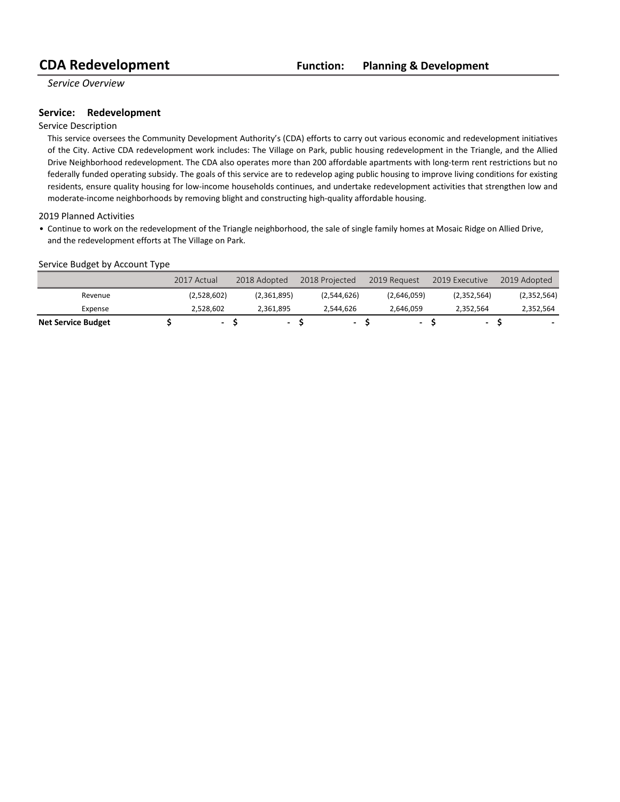*Service Overview*

## **Service: Redevelopment**

### Service Description

This service oversees the Community Development Authority's (CDA) efforts to carry out various economic and redevelopment initiatives of the City. Active CDA redevelopment work includes: The Village on Park, public housing redevelopment in the Triangle, and the Allied Drive Neighborhood redevelopment. The CDA also operates more than 200 affordable apartments with long-term rent restrictions but no federally funded operating subsidy. The goals of this service are to redevelop aging public housing to improve living conditions for existing residents, ensure quality housing for low-income households continues, and undertake redevelopment activities that strengthen low and moderate-income neighborhoods by removing blight and constructing high-quality affordable housing.

### 2019 Planned Activities

• Continue to work on the redevelopment of the Triangle neighborhood, the sale of single family homes at Mosaic Ridge on Allied Drive, and the redevelopment efforts at The Village on Park.

### Service Budget by Account Type

|                           | 2017 Actual    | 2018 Adopted | 2018 Projected           | 2019 Request | 2019 Executive           | 2019 Adopted |
|---------------------------|----------------|--------------|--------------------------|--------------|--------------------------|--------------|
| Revenue                   | (2,528,602)    | (2,361,895)  | (2,544,626)              | (2,646,059)  | (2,352,564)              | (2,352,564)  |
| Expense                   | 2.528.602      | 2.361.895    | 2.544.626                | 2.646.059    | 2.352.564                | 2,352,564    |
| <b>Net Service Budget</b> | $\blacksquare$ |              | $\overline{\phantom{a}}$ |              | $\overline{\phantom{0}}$ |              |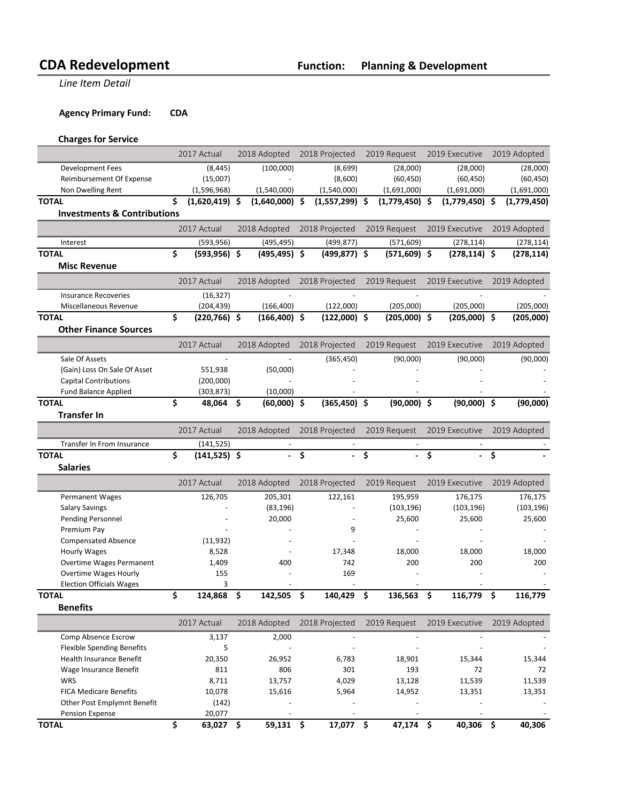**Line Item Detail** 

# **Agency Primary Fund: CDA**

# **Charges for Service**

|                                                             |    | 2017 Actual             |     | 2018 Adopted     | 2018 Projected              | 2019 Request     | 2019 Executive   |    | 2019 Adopted |
|-------------------------------------------------------------|----|-------------------------|-----|------------------|-----------------------------|------------------|------------------|----|--------------|
| <b>Development Fees</b>                                     |    | (8, 445)                |     | (100,000)        | (8,699)                     | (28,000)         | (28,000)         |    | (28,000)     |
| Reimbursement Of Expense                                    |    | (15,007)                |     |                  | (8,600)                     | (60, 450)        | (60, 450)        |    | (60, 450)    |
| Non Dwelling Rent                                           |    | (1,596,968)             |     | (1,540,000)      | (1,540,000)                 | (1,691,000)      | (1,691,000)      |    | (1,691,000)  |
| <b>TOTAL</b>                                                | Ś. | $(1,620,419)$ \$        |     | $(1,640,000)$ \$ | $(1,557,299)$ \$            | $(1,779,450)$ \$ | $(1,779,450)$ \$ |    | (1,779,450)  |
| <b>Investments &amp; Contributions</b>                      |    |                         |     |                  |                             |                  |                  |    |              |
|                                                             |    | 2017 Actual             |     | 2018 Adopted     | 2018 Projected              | 2019 Request     | 2019 Executive   |    | 2019 Adopted |
| Interest                                                    |    | (593, 956)              |     | (495, 495)       | (499, 877)                  | (571, 609)       | (278, 114)       |    | (278, 114)   |
| <b>TOTAL</b>                                                | \$ | $(593, 956)$ \$         |     | $(495, 495)$ \$  | $(499, 877)$ \$             | $(571,609)$ \$   | $(278, 114)$ \$  |    | (278, 114)   |
| <b>Misc Revenue</b>                                         |    |                         |     |                  |                             |                  |                  |    |              |
|                                                             |    | 2017 Actual             |     | 2018 Adopted     | 2018 Projected              | 2019 Request     | 2019 Executive   |    | 2019 Adopted |
| <b>Insurance Recoveries</b>                                 |    | (16, 327)               |     |                  |                             |                  |                  |    |              |
| Miscellaneous Revenue                                       |    | (204, 439)              |     | (166, 400)       | (122,000)                   | (205,000)        | (205,000)        |    | (205,000)    |
| <b>TOTAL</b>                                                | \$ | $(220, 766)$ \$         |     | $(166, 400)$ \$  | $(122,000)$ \$              | $(205,000)$ \$   | $(205,000)$ \$   |    | (205,000)    |
| <b>Other Finance Sources</b>                                |    |                         |     |                  |                             |                  |                  |    |              |
|                                                             |    | 2017 Actual             |     | 2018 Adopted     | 2018 Projected              | 2019 Request     | 2019 Executive   |    | 2019 Adopted |
|                                                             |    |                         |     |                  |                             |                  |                  |    |              |
| Sale Of Assets                                              |    |                         |     |                  | (365, 450)                  | (90,000)         | (90,000)         |    | (90,000)     |
| (Gain) Loss On Sale Of Asset                                |    | 551,938                 |     | (50,000)         |                             |                  |                  |    |              |
| <b>Capital Contributions</b><br><b>Fund Balance Applied</b> |    | (200,000)<br>(303, 873) |     | (10,000)         |                             |                  |                  |    |              |
| <b>TOTAL</b>                                                | \$ | 48,064                  | \$. | $(60,000)$ \$    | $(365, 450)$ \$             | $(90,000)$ \$    | $(90,000)$ \$    |    | (90,000)     |
| <b>Transfer In</b>                                          |    |                         |     |                  |                             |                  |                  |    |              |
|                                                             |    |                         |     |                  |                             |                  |                  |    |              |
|                                                             |    | 2017 Actual             |     | 2018 Adopted     | 2018 Projected              | 2019 Request     | 2019 Executive   |    | 2019 Adopted |
| Transfer In From Insurance                                  |    | (141, 525)              |     |                  |                             |                  |                  |    |              |
| <b>TOTAL</b>                                                | \$ | $(141, 525)$ \$         |     |                  | \$                          | \$               | \$               | Ś  |              |
| <b>Salaries</b>                                             |    |                         |     |                  |                             |                  |                  |    |              |
|                                                             |    | 2017 Actual             |     | 2018 Adopted     | 2018 Projected              | 2019 Request     | 2019 Executive   |    | 2019 Adopted |
| Permanent Wages                                             |    | 126,705                 |     | 205,301          | 122,161                     | 195,959          | 176,175          |    | 176,175      |
| <b>Salary Savings</b>                                       |    |                         |     | (83, 196)        |                             | (103, 196)       | (103, 196)       |    | (103, 196)   |
| Pending Personnel                                           |    |                         |     | 20,000           |                             | 25,600           | 25,600           |    | 25,600       |
| Premium Pay                                                 |    |                         |     |                  | 9                           |                  |                  |    |              |
| <b>Compensated Absence</b>                                  |    | (11, 932)               |     |                  |                             |                  |                  |    |              |
| <b>Hourly Wages</b>                                         |    | 8,528                   |     |                  | 17,348                      | 18,000           | 18,000           |    | 18,000       |
| Overtime Wages Permanent                                    |    | 1,409                   |     | 400              | 742                         | 200              | 200              |    | 200          |
| <b>Overtime Wages Hourly</b>                                |    | 155                     |     |                  | 169                         |                  |                  |    |              |
| <b>Election Officials Wages</b><br><b>TOTAL</b>             | \$ | 3<br>124,868            | \$  | 142,505          | \$<br>140,429               | \$<br>136,563    | \$<br>116,779    | \$ | 116,779      |
| <b>Benefits</b>                                             |    |                         |     |                  |                             |                  |                  |    |              |
|                                                             |    | 2017 Actual             |     | 2018 Adopted     | 2018 Projected              | 2019 Request     | 2019 Executive   |    | 2019 Adopted |
| Comp Absence Escrow                                         |    | 3,137                   |     | 2,000            |                             |                  |                  |    |              |
| <b>Flexible Spending Benefits</b>                           |    | 5                       |     |                  |                             |                  |                  |    |              |
| Health Insurance Benefit                                    |    | 20,350                  |     | 26,952           | 6,783                       | 18,901           | 15,344           |    | 15,344       |
| Wage Insurance Benefit                                      |    | 811                     |     | 806              | 301                         | 193              | 72               |    | 72           |
| <b>WRS</b>                                                  |    | 8,711                   |     | 13,757           | 4,029                       | 13,128           | 11,539           |    | 11,539       |
| <b>FICA Medicare Benefits</b>                               |    | 10,078                  |     | 15,616           | 5,964                       | 14,952           | 13,351           |    | 13,351       |
| Other Post Emplymnt Benefit                                 |    | (142)                   |     |                  |                             |                  |                  |    |              |
| Pension Expense                                             |    |                         |     |                  |                             |                  |                  |    |              |
| <b>TOTAL</b>                                                | \$ | 20,077<br>$63,027$ \$   |     | 59,131 \$        | $\blacksquare$<br>17,077 \$ | 47,174 \$        | 40,306 \$        |    | 40,306       |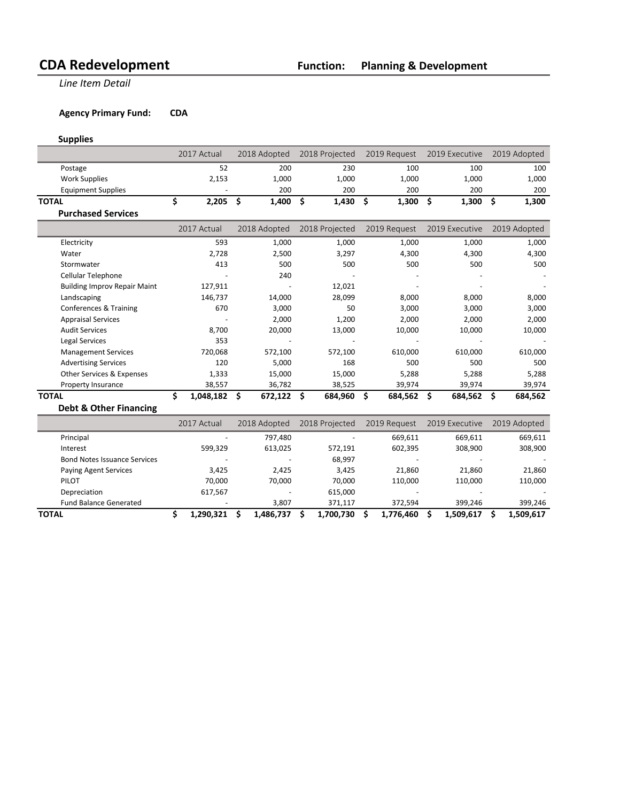**Line Item Detail** 

# **Agency Primary Fund: CDA**

# **Supplies**

|                                     | 2017 Actual     | 2018 Adopted       | 2018 Projected     | 2019 Request  | 2019 Executive |    | 2019 Adopted |
|-------------------------------------|-----------------|--------------------|--------------------|---------------|----------------|----|--------------|
| Postage                             | 52              | 200                | 230                | 100           | 100            |    | 100          |
| <b>Work Supplies</b>                | 2,153           | 1,000              | 1,000              | 1,000         | 1,000          |    | 1,000        |
| <b>Equipment Supplies</b>           |                 | 200                | 200                | 200           | 200            |    | 200          |
| <b>TOTAL</b>                        | \$<br>2,205     | \$<br>1,400        | $1,430$ \$<br>- \$ | 1,300         | \$<br>1,300    | \$ | 1,300        |
| <b>Purchased Services</b>           |                 |                    |                    |               |                |    |              |
|                                     | 2017 Actual     | 2018 Adopted       | 2018 Projected     | 2019 Request  | 2019 Executive |    | 2019 Adopted |
| Electricity                         | 593             | 1,000              | 1,000              | 1,000         | 1,000          |    | 1,000        |
| Water                               | 2,728           | 2,500              | 3,297              | 4,300         | 4,300          |    | 4,300        |
| Stormwater                          | 413             | 500                | 500                | 500           | 500            |    | 500          |
| Cellular Telephone                  |                 | 240                |                    |               |                |    |              |
| <b>Building Improv Repair Maint</b> | 127,911         |                    | 12,021             |               |                |    |              |
| Landscaping                         | 146,737         | 14,000             | 28,099             | 8,000         | 8,000          |    | 8,000        |
| Conferences & Training              | 670             | 3,000              | 50                 | 3,000         | 3,000          |    | 3,000        |
| <b>Appraisal Services</b>           |                 | 2,000              | 1,200              | 2,000         | 2,000          |    | 2,000        |
| <b>Audit Services</b>               | 8,700           | 20,000             | 13,000             | 10,000        | 10,000         |    | 10,000       |
| <b>Legal Services</b>               | 353             |                    |                    |               |                |    |              |
| <b>Management Services</b>          | 720,068         | 572,100            | 572,100            | 610,000       | 610,000        |    | 610,000      |
| <b>Advertising Services</b>         | 120             | 5,000              | 168                | 500           | 500            |    | 500          |
| Other Services & Expenses           | 1,333           | 15,000             | 15,000             | 5,288         | 5,288          |    | 5,288        |
| Property Insurance                  | 38,557          | 36,782             | 38,525             | 39,974        | 39,974         |    | 39,974       |
| <b>TOTAL</b>                        | \$<br>1,048,182 | \$<br>$672,122$ \$ | 684,960            | \$<br>684,562 | \$<br>684,562  | Ŝ  | 684,562      |
| <b>Debt &amp; Other Financing</b>   |                 |                    |                    |               |                |    |              |
|                                     | 2017 Actual     | 2018 Adopted       | 2018 Projected     | 2019 Request  | 2019 Executive |    | 2019 Adopted |
| Principal                           |                 | 797,480            |                    | 669,611       | 669,611        |    | 669,611      |

| ΤΟΤΑL                               | 1.290.321 | 1,486,737 | 1.700.730                | 1,776,460 | 1.509.617 | 1,509,617 |
|-------------------------------------|-----------|-----------|--------------------------|-----------|-----------|-----------|
| <b>Fund Balance Generated</b>       |           | 3.807     | 371.117                  | 372.594   | 399.246   | 399.246   |
| Depreciation                        | 617.567   |           | 615.000                  | -         |           |           |
| PILOT                               | 70.000    | 70.000    | 70.000                   | 110.000   | 110.000   | 110,000   |
| Paying Agent Services               | 3.425     | 2.425     | 3.425                    | 21,860    | 21.860    | 21,860    |
| <b>Bond Notes Issuance Services</b> |           |           | 68,997                   |           |           |           |
| Interest                            | 599.329   | 613.025   | 572,191                  | 602.395   | 308.900   | 308,900   |
| Principal                           | -         | 797.480   | $\overline{\phantom{0}}$ | 669.611   | 669.611   | 669,611   |